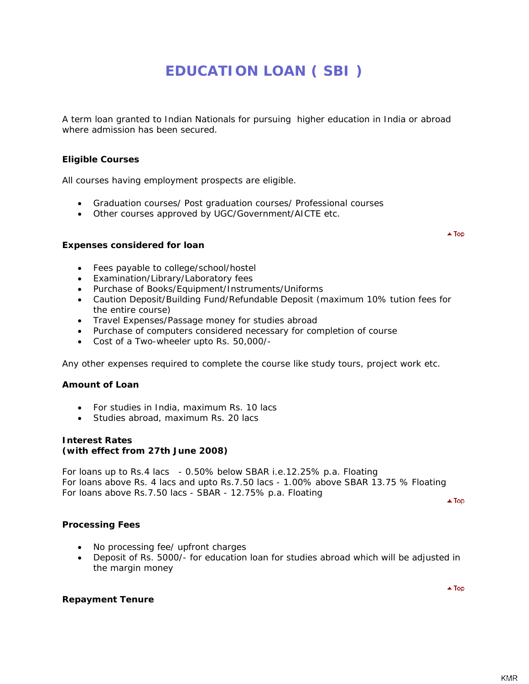# **EDUCATION LOAN ( SBI )**

A term loan granted to Indian Nationals for pursuing higher education in India or abroad where admission has been secured.

# **Eligible Courses**

All courses having employment prospects are eligible.

- Graduation courses/ Post graduation courses/ Professional courses
- Other courses approved by UGC/Government/AICTE etc.

## **Expenses considered for loan**

 $\triangle$  Top

- Fees payable to college/school/hostel
- Examination/Library/Laboratory fees
- Purchase of Books/Equipment/Instruments/Uniforms
- Caution Deposit/Building Fund/Refundable Deposit (maximum 10% tution fees for the entire course)
- Travel Expenses/Passage money for studies abroad
- Purchase of computers considered necessary for completion of course
- Cost of a Two-wheeler upto Rs. 50,000/-

Any other expenses required to complete the course like study tours, project work etc.

# **Amount of Loan**

- For studies in India, maximum Rs. 10 lacs
- Studies abroad, maximum Rs. 20 lacs

#### **Interest Rates (with effect from 27th June 2008)**

For loans up to Rs.4 lacs - 0.50% below SBAR i.e.12.25% p.a. Floating For loans above Rs. 4 lacs and upto Rs.7.50 lacs - 1.00% above SBAR 13.75 % Floating For loans above Rs.7.50 lacs - SBAR - 12.75% p.a. Floating

 $\blacktriangle$  Top

 $\triangle$  Top

#### **Processing Fees**

- No processing fee/ upfront charges
- Deposit of Rs. 5000/- for education loan for studies abroad which will be adjusted in the margin money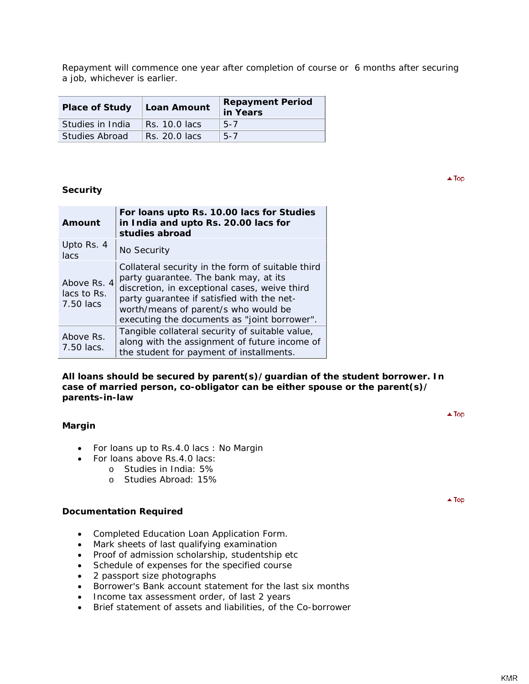Repayment will commence one year after completion of course or 6 months after securing a job, whichever is earlier.

| <b>Place of Study</b> | Loan Amount   | <b>Repayment Period</b><br>in Years |
|-----------------------|---------------|-------------------------------------|
| Studies in India      | Rs. 10.0 lacs | $5 - 7$                             |
| Studies Abroad        | Rs. 20.0 lacs | $5 - 7$                             |

# **Security**

| Amount                                  | For loans upto Rs. 10.00 lacs for Studies<br>in India and upto Rs. 20.00 lacs for<br>studies abroad                                                                                                                                                                               |  |
|-----------------------------------------|-----------------------------------------------------------------------------------------------------------------------------------------------------------------------------------------------------------------------------------------------------------------------------------|--|
| Upto Rs. 4<br>lacs                      | No Security                                                                                                                                                                                                                                                                       |  |
| Above Rs. 4<br>lacs to Rs.<br>7.50 lacs | Collateral security in the form of suitable third<br>party guarantee. The bank may, at its<br>discretion, in exceptional cases, weive third<br>party quarantee if satisfied with the net-<br>worth/means of parent/s who would be<br>executing the documents as "joint borrower". |  |
| Above Rs.<br>7.50 lacs.                 | Tangible collateral security of suitable value,<br>along with the assignment of future income of<br>the student for payment of installments.                                                                                                                                      |  |

#### **All loans should be secured by parent(s)/guardian of the student borrower. In case of married person, co-obligator can be either spouse or the parent(s)/ parents-in-law**

- For loans up to Rs.4.0 lacs : No Margin
- For loans above Rs.4.0 lacs:
	- o Studies in India: 5%
		- o Studies Abroad: 15%

#### **Documentation Required**

- Completed Education Loan Application Form.
- Mark sheets of last qualifying examination
- Proof of admission scholarship, studentship etc
- Schedule of expenses for the specified course
- 2 passport size photographs
- Borrower's Bank account statement for the last six months
- Income tax assessment order, of last 2 years
- Brief statement of assets and liabilities, of the Co-borrower

 $\blacktriangle$  Top

 $\blacktriangle$  Top

 $\triangle$  Top